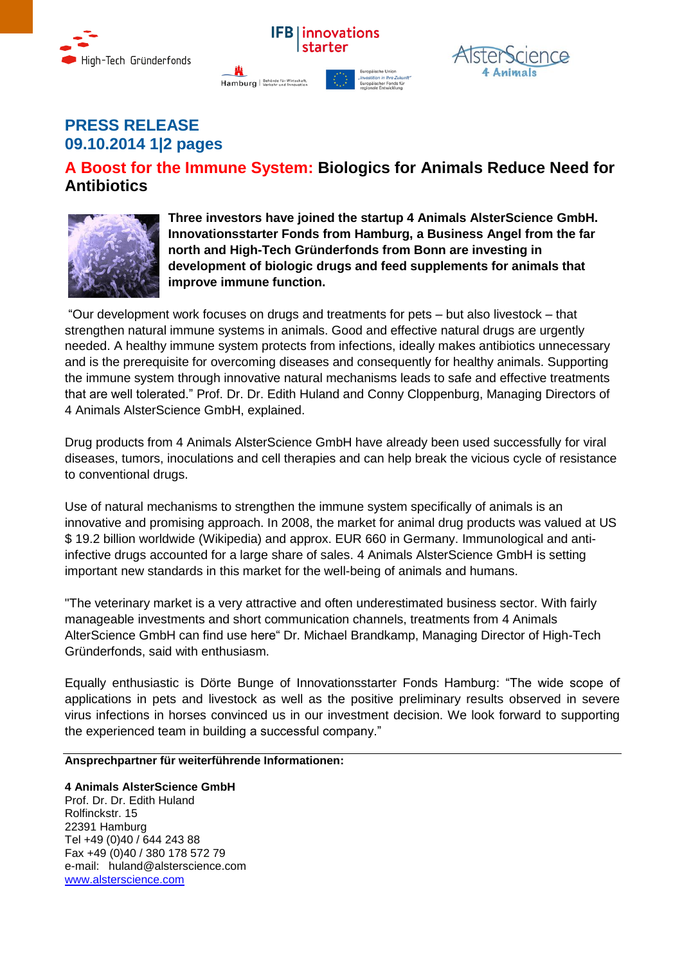





# **PRESS RELEASE 09.10.2014 1|2 pages**

# **A Boost for the Immune System: Biologics for Animals Reduce Need for Antibiotics**



**Three investors have joined the startup 4 Animals AlsterScience GmbH. Innovationsstarter Fonds from Hamburg, a Business Angel from the far north and High-Tech Gründerfonds from Bonn are investing in development of biologic drugs and feed supplements for animals that improve immune function.** 

"Our development work focuses on drugs and treatments for pets – but also livestock – that strengthen natural immune systems in animals. Good and effective natural drugs are urgently needed. A healthy immune system protects from infections, ideally makes antibiotics unnecessary and is the prerequisite for overcoming diseases and consequently for healthy animals. Supporting the immune system through innovative natural mechanisms leads to safe and effective treatments that are well tolerated." Prof. Dr. Dr. Edith Huland and Conny Cloppenburg, Managing Directors of 4 Animals AlsterScience GmbH, explained.

Drug products from 4 Animals AlsterScience GmbH have already been used successfully for viral diseases, tumors, inoculations and cell therapies and can help break the vicious cycle of resistance to conventional drugs.

Use of natural mechanisms to strengthen the immune system specifically of animals is an innovative and promising approach. In 2008, the market for animal drug products was valued at US \$ 19.2 billion worldwide (Wikipedia) and approx. EUR 660 in Germany. Immunological and antiinfective drugs accounted for a large share of sales. 4 Animals AlsterScience GmbH is setting important new standards in this market for the well-being of animals and humans.

"The veterinary market is a very attractive and often underestimated business sector. With fairly manageable investments and short communication channels, treatments from 4 Animals AlterScience GmbH can find use here" Dr. Michael Brandkamp, Managing Director of High-Tech Gründerfonds, said with enthusiasm.

Equally enthusiastic is Dörte Bunge of Innovationsstarter Fonds Hamburg: "The wide scope of applications in pets and livestock as well as the positive preliminary results observed in severe virus infections in horses convinced us in our investment decision. We look forward to supporting the experienced team in building a successful company."

## **Ansprechpartner für weiterführende Informationen:**

### **4 Animals AlsterScience GmbH** Prof. Dr. Dr. Edith Huland Rolfinckstr. 15 22391 Hamburg Tel +49 (0)40 / 644 243 88 Fax +49 (0)40 / 380 178 572 79 e-mail: huland@alsterscience.com [www.alsterscience.com](http://www.alsterscience.com/)